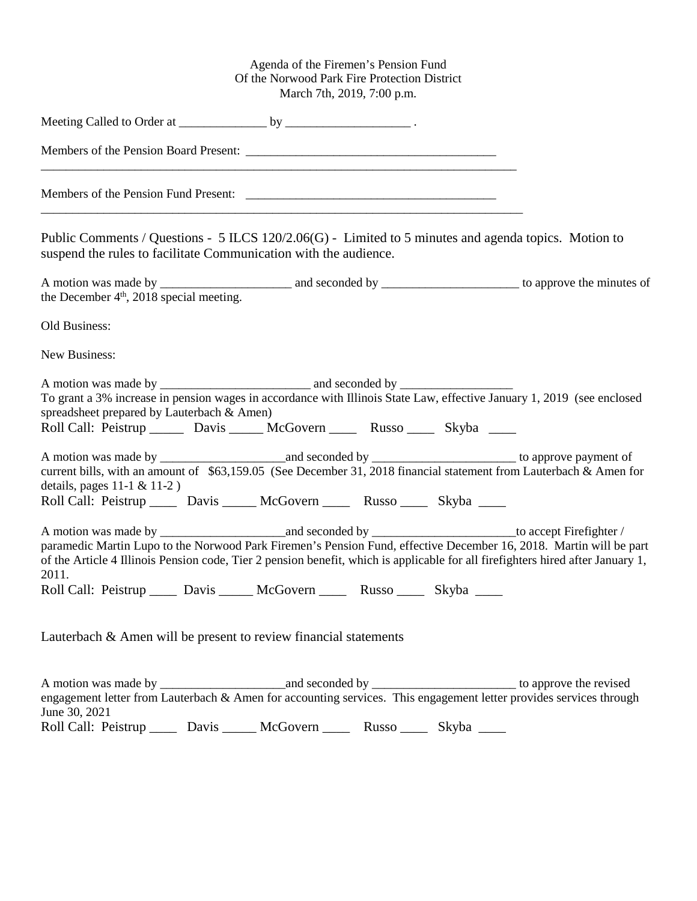## Agenda of the Firemen's Pension Fund Of the Norwood Park Fire Protection District March 7th, 2019, 7:00 p.m.

| Public Comments / Questions - $5$ ILCS 120/2.06(G) - Limited to 5 minutes and agenda topics. Motion to<br>suspend the rules to facilitate Communication with the audience.                                                                                                                                                                    |  |
|-----------------------------------------------------------------------------------------------------------------------------------------------------------------------------------------------------------------------------------------------------------------------------------------------------------------------------------------------|--|
| the December $4th$ , 2018 special meeting.                                                                                                                                                                                                                                                                                                    |  |
| Old Business:                                                                                                                                                                                                                                                                                                                                 |  |
| New Business:                                                                                                                                                                                                                                                                                                                                 |  |
| To grant a 3% increase in pension wages in accordance with Illinois State Law, effective January 1, 2019 (see enclosed<br>spreadsheet prepared by Lauterbach & Amen)<br>Roll Call: Peistrup _______ Davis ______ McGovern _____ Russo _____ Skyba _____                                                                                       |  |
| details, pages $11-1$ & $11-2$ )<br>Roll Call: Peistrup _____ Davis _____ McGovern _____ Russo _____ Skyba ____                                                                                                                                                                                                                               |  |
| paramedic Martin Lupo to the Norwood Park Firemen's Pension Fund, effective December 16, 2018. Martin will be part<br>of the Article 4 Illinois Pension code, Tier 2 pension benefit, which is applicable for all firefighters hired after January 1,<br>2011.<br>Roll Call: Peistrup _____ Davis _____ McGovern _____ Russo _____ Skyba ____ |  |
| Lauterbach & Amen will be present to review financial statements                                                                                                                                                                                                                                                                              |  |
|                                                                                                                                                                                                                                                                                                                                               |  |

engagement letter from Lauterbach & Amen for accounting services. This engagement letter provides services through June 30, 2021 Roll Call: Peistrup \_\_\_\_\_ Davis \_\_\_\_\_ McGovern \_\_\_\_\_ Russo \_\_\_\_ Skyba \_\_\_\_